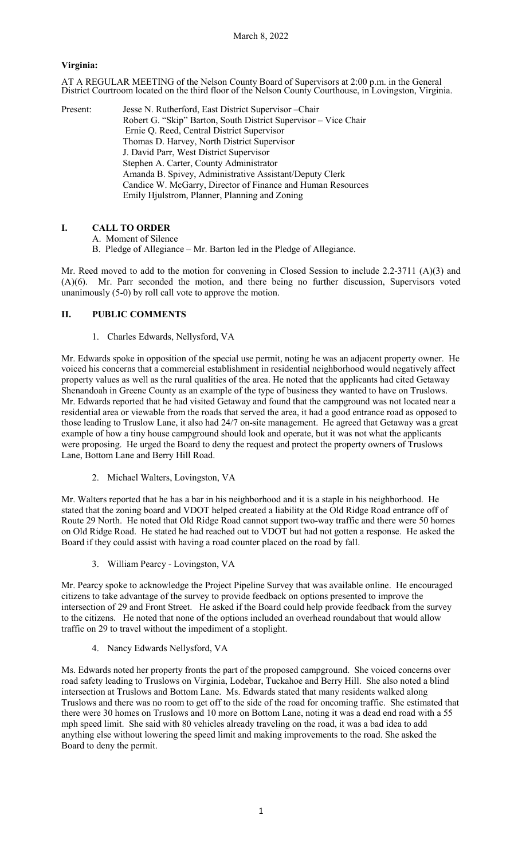## **Virginia:**

AT A REGULAR MEETING of the Nelson County Board of Supervisors at 2:00 p.m. in the General District Courtroom located on the third floor of the Nelson County Courthouse, in Lovingston, Virginia.

Present: Jesse N. Rutherford, East District Supervisor - Chair Robert G. "Skip" Barton, South District Supervisor – Vice Chair Ernie Q. Reed, Central District Supervisor Thomas D. Harvey, North District Supervisor J. David Parr, West District Supervisor Stephen A. Carter, County Administrator Amanda B. Spivey, Administrative Assistant/Deputy Clerk Candice W. McGarry, Director of Finance and Human Resources Emily Hjulstrom, Planner, Planning and Zoning

# **I. CALL TO ORDER**

B. Pledge of Allegiance – Mr. Barton led in the Pledge of Allegiance.

Mr. Reed moved to add to the motion for convening in Closed Session to include 2.2-3711 (A)(3) and (A)(6). Mr. Parr seconded the motion, and there being no further discussion, Supervisors voted unanimously (5-0) by roll call vote to approve the motion.

## **II. PUBLIC COMMENTS**

1. Charles Edwards, Nellysford, VA

Mr. Edwards spoke in opposition of the special use permit, noting he was an adjacent property owner. He voiced his concerns that a commercial establishment in residential neighborhood would negatively affect property values as well as the rural qualities of the area. He noted that the applicants had cited Getaway Shenandoah in Greene County as an example of the type of business they wanted to have on Truslows. Mr. Edwards reported that he had visited Getaway and found that the campground was not located near a residential area or viewable from the roads that served the area, it had a good entrance road as opposed to those leading to Truslow Lane, it also had 24/7 on-site management. He agreed that Getaway was a great example of how a tiny house campground should look and operate, but it was not what the applicants were proposing. He urged the Board to deny the request and protect the property owners of Truslows Lane, Bottom Lane and Berry Hill Road.

2. Michael Walters, Lovingston, VA

Mr. Walters reported that he has a bar in his neighborhood and it is a staple in his neighborhood. He stated that the zoning board and VDOT helped created a liability at the Old Ridge Road entrance off of Route 29 North. He noted that Old Ridge Road cannot support two-way traffic and there were 50 homes on Old Ridge Road. He stated he had reached out to VDOT but had not gotten a response. He asked the Board if they could assist with having a road counter placed on the road by fall.

3. William Pearcy - Lovingston, VA

Mr. Pearcy spoke to acknowledge the Project Pipeline Survey that was available online. He encouraged citizens to take advantage of the survey to provide feedback on options presented to improve the intersection of 29 and Front Street. He asked if the Board could help provide feedback from the survey to the citizens. He noted that none of the options included an overhead roundabout that would allow traffic on 29 to travel without the impediment of a stoplight.

4. Nancy Edwards Nellysford, VA

Ms. Edwards noted her property fronts the part of the proposed campground. She voiced concerns over road safety leading to Truslows on Virginia, Lodebar, Tuckahoe and Berry Hill. She also noted a blind intersection at Truslows and Bottom Lane. Ms. Edwards stated that many residents walked along Truslows and there was no room to get off to the side of the road for oncoming traffic. She estimated that there were 30 homes on Truslows and 10 more on Bottom Lane, noting it was a dead end road with a 55 mph speed limit. She said with 80 vehicles already traveling on the road, it was a bad idea to add anything else without lowering the speed limit and making improvements to the road. She asked the Board to deny the permit.

A. Moment of Silence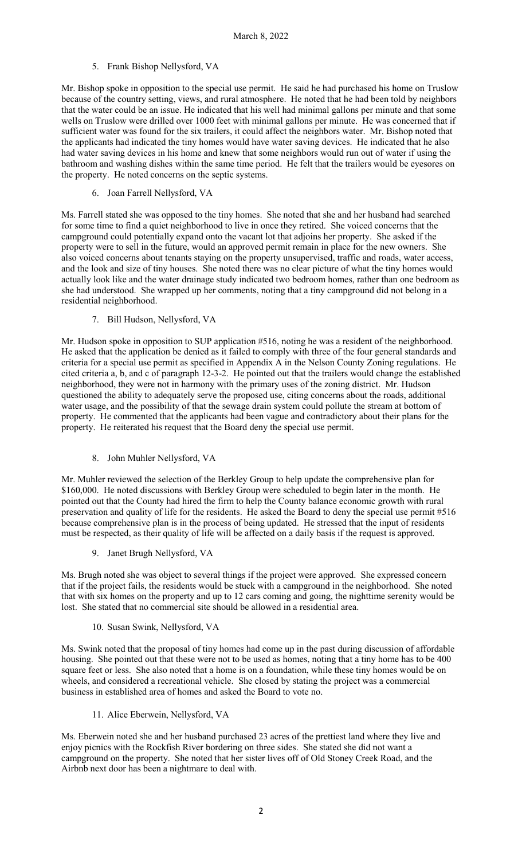5. Frank Bishop Nellysford, VA

Mr. Bishop spoke in opposition to the special use permit. He said he had purchased his home on Truslow because of the country setting, views, and rural atmosphere. He noted that he had been told by neighbors that the water could be an issue. He indicated that his well had minimal gallons per minute and that some wells on Truslow were drilled over 1000 feet with minimal gallons per minute. He was concerned that if sufficient water was found for the six trailers, it could affect the neighbors water. Mr. Bishop noted that the applicants had indicated the tiny homes would have water saving devices. He indicated that he also had water saving devices in his home and knew that some neighbors would run out of water if using the bathroom and washing dishes within the same time period. He felt that the trailers would be eyesores on the property. He noted concerns on the septic systems.

6. Joan Farrell Nellysford, VA

Ms. Farrell stated she was opposed to the tiny homes. She noted that she and her husband had searched for some time to find a quiet neighborhood to live in once they retired. She voiced concerns that the campground could potentially expand onto the vacant lot that adjoins her property. She asked if the property were to sell in the future, would an approved permit remain in place for the new owners. She also voiced concerns about tenants staying on the property unsupervised, traffic and roads, water access, and the look and size of tiny houses. She noted there was no clear picture of what the tiny homes would actually look like and the water drainage study indicated two bedroom homes, rather than one bedroom as she had understood. She wrapped up her comments, noting that a tiny campground did not belong in a residential neighborhood.

7. Bill Hudson, Nellysford, VA

Mr. Hudson spoke in opposition to SUP application #516, noting he was a resident of the neighborhood. He asked that the application be denied as it failed to comply with three of the four general standards and criteria for a special use permit as specified in Appendix A in the Nelson County Zoning regulations. He cited criteria a, b, and c of paragraph 12-3-2. He pointed out that the trailers would change the established neighborhood, they were not in harmony with the primary uses of the zoning district. Mr. Hudson questioned the ability to adequately serve the proposed use, citing concerns about the roads, additional water usage, and the possibility of that the sewage drain system could pollute the stream at bottom of property. He commented that the applicants had been vague and contradictory about their plans for the property. He reiterated his request that the Board deny the special use permit.

#### 8. John Muhler Nellysford, VA

Mr. Muhler reviewed the selection of the Berkley Group to help update the comprehensive plan for \$160,000. He noted discussions with Berkley Group were scheduled to begin later in the month. He pointed out that the County had hired the firm to help the County balance economic growth with rural preservation and quality of life for the residents. He asked the Board to deny the special use permit #516 because comprehensive plan is in the process of being updated. He stressed that the input of residents must be respected, as their quality of life will be affected on a daily basis if the request is approved.

9. Janet Brugh Nellysford, VA

Ms. Brugh noted she was object to several things if the project were approved. She expressed concern that if the project fails, the residents would be stuck with a campground in the neighborhood. She noted that with six homes on the property and up to 12 cars coming and going, the nighttime serenity would be lost. She stated that no commercial site should be allowed in a residential area.

10. Susan Swink, Nellysford, VA

Ms. Swink noted that the proposal of tiny homes had come up in the past during discussion of affordable housing. She pointed out that these were not to be used as homes, noting that a tiny home has to be 400 square feet or less. She also noted that a home is on a foundation, while these tiny homes would be on wheels, and considered a recreational vehicle. She closed by stating the project was a commercial business in established area of homes and asked the Board to vote no.

11. Alice Eberwein, Nellysford, VA

Ms. Eberwein noted she and her husband purchased 23 acres of the prettiest land where they live and enjoy picnics with the Rockfish River bordering on three sides. She stated she did not want a campground on the property. She noted that her sister lives off of Old Stoney Creek Road, and the Airbnb next door has been a nightmare to deal with.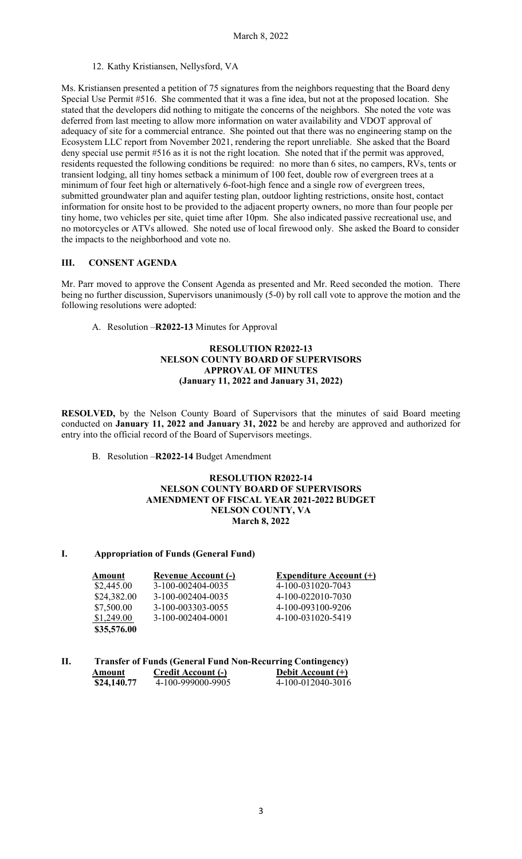12. Kathy Kristiansen, Nellysford, VA

Ms. Kristiansen presented a petition of 75 signatures from the neighbors requesting that the Board deny Special Use Permit #516. She commented that it was a fine idea, but not at the proposed location. She stated that the developers did nothing to mitigate the concerns of the neighbors. She noted the vote was deferred from last meeting to allow more information on water availability and VDOT approval of adequacy of site for a commercial entrance. She pointed out that there was no engineering stamp on the Ecosystem LLC report from November 2021, rendering the report unreliable. She asked that the Board deny special use permit #516 as it is not the right location. She noted that if the permit was approved, residents requested the following conditions be required: no more than 6 sites, no campers, RVs, tents or transient lodging, all tiny homes setback a minimum of 100 feet, double row of evergreen trees at a minimum of four feet high or alternatively 6-foot-high fence and a single row of evergreen trees, submitted groundwater plan and aquifer testing plan, outdoor lighting restrictions, onsite host, contact information for onsite host to be provided to the adjacent property owners, no more than four people per tiny home, two vehicles per site, quiet time after 10pm. She also indicated passive recreational use, and no motorcycles or ATVs allowed. She noted use of local firewood only. She asked the Board to consider the impacts to the neighborhood and vote no.

## **III. CONSENT AGENDA**

Mr. Parr moved to approve the Consent Agenda as presented and Mr. Reed seconded the motion. There being no further discussion, Supervisors unanimously (5-0) by roll call vote to approve the motion and the following resolutions were adopted:

A. Resolution –**R2022-13** Minutes for Approval

## **RESOLUTION R2022-13 NELSON COUNTY BOARD OF SUPERVISORS APPROVAL OF MINUTES (January 11, 2022 and January 31, 2022)**

**RESOLVED,** by the Nelson County Board of Supervisors that the minutes of said Board meeting conducted on **January 11, 2022 and January 31, 2022** be and hereby are approved and authorized for entry into the official record of the Board of Supervisors meetings.

B. Resolution –**R2022-14** Budget Amendment

#### **RESOLUTION R2022-14 NELSON COUNTY BOARD OF SUPERVISORS AMENDMENT OF FISCAL YEAR 2021-2022 BUDGET NELSON COUNTY, VA March 8, 2022**

### **I. Appropriation of Funds (General Fund)**

| Amount      | Revenue Account (-) | <b>Expenditure Account (+)</b> |
|-------------|---------------------|--------------------------------|
| \$2,445.00  | 3-100-002404-0035   | 4-100-031020-7043              |
| \$24,382.00 | 3-100-002404-0035   | 4-100-022010-7030              |
| \$7,500.00  | 3-100-003303-0055   | 4-100-093100-9206              |
| \$1,249.00  | 3-100-002404-0001   | 4-100-031020-5419              |
| \$35,576.00 |                     |                                |

| П. |             | <b>Transfer of Funds (General Fund Non-Recurring Contingency)</b> |                   |  |  |  |
|----|-------------|-------------------------------------------------------------------|-------------------|--|--|--|
|    | Amount      | <b>Credit Account (-)</b>                                         | Debit Account (+) |  |  |  |
|    | \$24,140.77 | 4-100-999000-9905                                                 | 4-100-012040-3016 |  |  |  |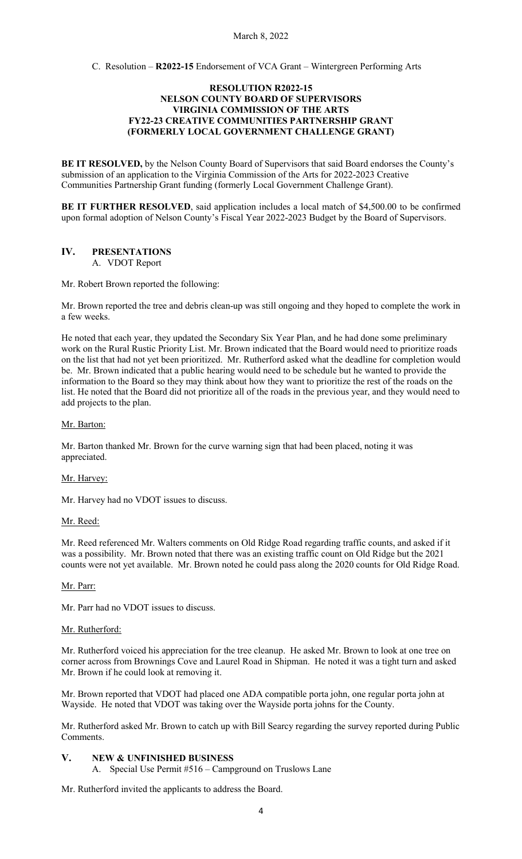C. Resolution – **R2022-15** Endorsement of VCA Grant – Wintergreen Performing Arts

### **RESOLUTION R2022-15 NELSON COUNTY BOARD OF SUPERVISORS VIRGINIA COMMISSION OF THE ARTS FY22-23 CREATIVE COMMUNITIES PARTNERSHIP GRANT (FORMERLY LOCAL GOVERNMENT CHALLENGE GRANT)**

**BE IT RESOLVED,** by the Nelson County Board of Supervisors that said Board endorses the County's submission of an application to the Virginia Commission of the Arts for 2022-2023 Creative Communities Partnership Grant funding (formerly Local Government Challenge Grant).

**BE IT FURTHER RESOLVED**, said application includes a local match of \$4,500.00 to be confirmed upon formal adoption of Nelson County's Fiscal Year 2022-2023 Budget by the Board of Supervisors.

#### **IV. PRESENTATIONS** A. VDOT Report

Mr. Robert Brown reported the following:

Mr. Brown reported the tree and debris clean-up was still ongoing and they hoped to complete the work in a few weeks.

He noted that each year, they updated the Secondary Six Year Plan, and he had done some preliminary work on the Rural Rustic Priority List. Mr. Brown indicated that the Board would need to prioritize roads on the list that had not yet been prioritized. Mr. Rutherford asked what the deadline for completion would be. Mr. Brown indicated that a public hearing would need to be schedule but he wanted to provide the information to the Board so they may think about how they want to prioritize the rest of the roads on the list. He noted that the Board did not prioritize all of the roads in the previous year, and they would need to add projects to the plan.

#### Mr. Barton:

Mr. Barton thanked Mr. Brown for the curve warning sign that had been placed, noting it was appreciated.

#### Mr. Harvey:

Mr. Harvey had no VDOT issues to discuss.

Mr. Reed:

Mr. Reed referenced Mr. Walters comments on Old Ridge Road regarding traffic counts, and asked if it was a possibility. Mr. Brown noted that there was an existing traffic count on Old Ridge but the 2021 counts were not yet available. Mr. Brown noted he could pass along the 2020 counts for Old Ridge Road.

#### Mr. Parr:

Mr. Parr had no VDOT issues to discuss.

#### Mr. Rutherford:

Mr. Rutherford voiced his appreciation for the tree cleanup. He asked Mr. Brown to look at one tree on corner across from Brownings Cove and Laurel Road in Shipman. He noted it was a tight turn and asked Mr. Brown if he could look at removing it.

Mr. Brown reported that VDOT had placed one ADA compatible porta john, one regular porta john at Wayside. He noted that VDOT was taking over the Wayside porta johns for the County.

Mr. Rutherford asked Mr. Brown to catch up with Bill Searcy regarding the survey reported during Public Comments.

#### **V. NEW & UNFINISHED BUSINESS**

A. Special Use Permit #516 – Campground on Truslows Lane

Mr. Rutherford invited the applicants to address the Board.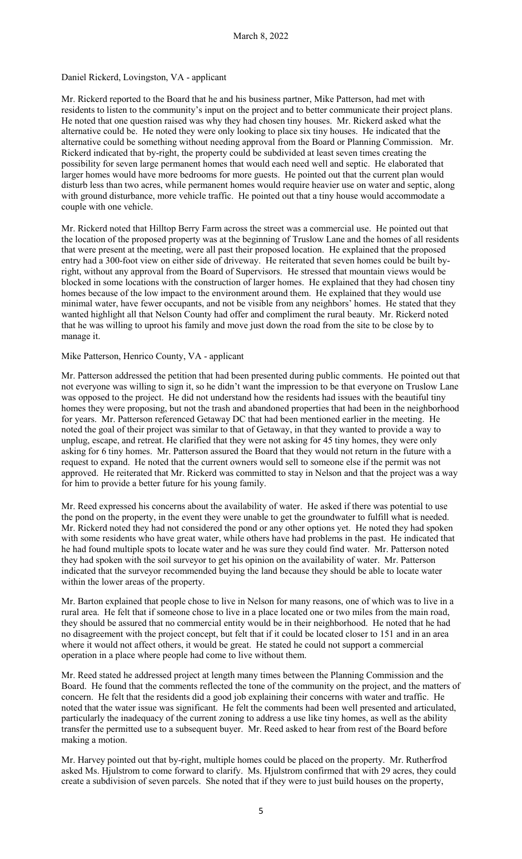### Daniel Rickerd, Lovingston, VA - applicant

Mr. Rickerd reported to the Board that he and his business partner, Mike Patterson, had met with residents to listen to the community's input on the project and to better communicate their project plans. He noted that one question raised was why they had chosen tiny houses. Mr. Rickerd asked what the alternative could be. He noted they were only looking to place six tiny houses. He indicated that the alternative could be something without needing approval from the Board or Planning Commission. Mr. Rickerd indicated that by-right, the property could be subdivided at least seven times creating the possibility for seven large permanent homes that would each need well and septic. He elaborated that larger homes would have more bedrooms for more guests. He pointed out that the current plan would disturb less than two acres, while permanent homes would require heavier use on water and septic, along with ground disturbance, more vehicle traffic. He pointed out that a tiny house would accommodate a couple with one vehicle.

Mr. Rickerd noted that Hilltop Berry Farm across the street was a commercial use. He pointed out that the location of the proposed property was at the beginning of Truslow Lane and the homes of all residents that were present at the meeting, were all past their proposed location. He explained that the proposed entry had a 300-foot view on either side of driveway. He reiterated that seven homes could be built byright, without any approval from the Board of Supervisors. He stressed that mountain views would be blocked in some locations with the construction of larger homes. He explained that they had chosen tiny homes because of the low impact to the environment around them. He explained that they would use minimal water, have fewer occupants, and not be visible from any neighbors' homes. He stated that they wanted highlight all that Nelson County had offer and compliment the rural beauty. Mr. Rickerd noted that he was willing to uproot his family and move just down the road from the site to be close by to manage it.

### Mike Patterson, Henrico County, VA - applicant

Mr. Patterson addressed the petition that had been presented during public comments. He pointed out that not everyone was willing to sign it, so he didn't want the impression to be that everyone on Truslow Lane was opposed to the project. He did not understand how the residents had issues with the beautiful tiny homes they were proposing, but not the trash and abandoned properties that had been in the neighborhood for years. Mr. Patterson referenced Getaway DC that had been mentioned earlier in the meeting. He noted the goal of their project was similar to that of Getaway, in that they wanted to provide a way to unplug, escape, and retreat. He clarified that they were not asking for 45 tiny homes, they were only asking for 6 tiny homes. Mr. Patterson assured the Board that they would not return in the future with a request to expand. He noted that the current owners would sell to someone else if the permit was not approved. He reiterated that Mr. Rickerd was committed to stay in Nelson and that the project was a way for him to provide a better future for his young family.

Mr. Reed expressed his concerns about the availability of water. He asked if there was potential to use the pond on the property, in the event they were unable to get the groundwater to fulfill what is needed. Mr. Rickerd noted they had not considered the pond or any other options yet. He noted they had spoken with some residents who have great water, while others have had problems in the past. He indicated that he had found multiple spots to locate water and he was sure they could find water. Mr. Patterson noted they had spoken with the soil surveyor to get his opinion on the availability of water. Mr. Patterson indicated that the surveyor recommended buying the land because they should be able to locate water within the lower areas of the property.

Mr. Barton explained that people chose to live in Nelson for many reasons, one of which was to live in a rural area. He felt that if someone chose to live in a place located one or two miles from the main road, they should be assured that no commercial entity would be in their neighborhood. He noted that he had no disagreement with the project concept, but felt that if it could be located closer to 151 and in an area where it would not affect others, it would be great. He stated he could not support a commercial operation in a place where people had come to live without them.

Mr. Reed stated he addressed project at length many times between the Planning Commission and the Board. He found that the comments reflected the tone of the community on the project, and the matters of concern. He felt that the residents did a good job explaining their concerns with water and traffic. He noted that the water issue was significant. He felt the comments had been well presented and articulated, particularly the inadequacy of the current zoning to address a use like tiny homes, as well as the ability transfer the permitted use to a subsequent buyer. Mr. Reed asked to hear from rest of the Board before making a motion.

Mr. Harvey pointed out that by-right, multiple homes could be placed on the property. Mr. Rutherfrod asked Ms. Hjulstrom to come forward to clarify. Ms. Hjulstrom confirmed that with 29 acres, they could create a subdivision of seven parcels. She noted that if they were to just build houses on the property,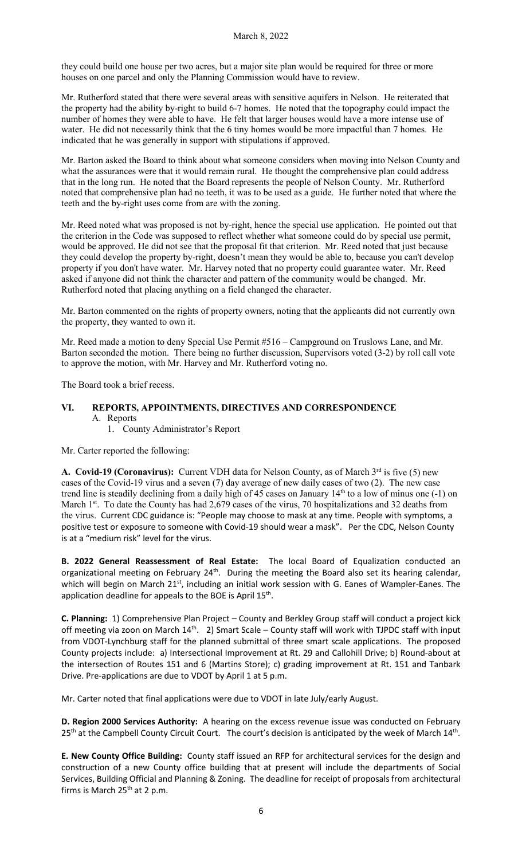they could build one house per two acres, but a major site plan would be required for three or more houses on one parcel and only the Planning Commission would have to review.

Mr. Rutherford stated that there were several areas with sensitive aquifers in Nelson. He reiterated that the property had the ability by-right to build 6-7 homes. He noted that the topography could impact the number of homes they were able to have. He felt that larger houses would have a more intense use of water. He did not necessarily think that the 6 tiny homes would be more impactful than 7 homes. He indicated that he was generally in support with stipulations if approved.

Mr. Barton asked the Board to think about what someone considers when moving into Nelson County and what the assurances were that it would remain rural. He thought the comprehensive plan could address that in the long run. He noted that the Board represents the people of Nelson County. Mr. Rutherford noted that comprehensive plan had no teeth, it was to be used as a guide. He further noted that where the teeth and the by-right uses come from are with the zoning.

Mr. Reed noted what was proposed is not by-right, hence the special use application. He pointed out that the criterion in the Code was supposed to reflect whether what someone could do by special use permit, would be approved. He did not see that the proposal fit that criterion. Mr. Reed noted that just because they could develop the property by-right, doesn't mean they would be able to, because you can't develop property if you don't have water. Mr. Harvey noted that no property could guarantee water. Mr. Reed asked if anyone did not think the character and pattern of the community would be changed. Mr. Rutherford noted that placing anything on a field changed the character.

Mr. Barton commented on the rights of property owners, noting that the applicants did not currently own the property, they wanted to own it.

Mr. Reed made a motion to deny Special Use Permit #516 – Campground on Truslows Lane, and Mr. Barton seconded the motion. There being no further discussion, Supervisors voted (3-2) by roll call vote to approve the motion, with Mr. Harvey and Mr. Rutherford voting no.

The Board took a brief recess.

## **VI. REPORTS, APPOINTMENTS, DIRECTIVES AND CORRESPONDENCE** A. Reports

1. County Administrator's Report

Mr. Carter reported the following:

**A. Covid-19 (Coronavirus):** Current VDH data for Nelson County, as of March 3<sup>rd</sup> is five (5) new cases of the Covid-19 virus and a seven (7) day average of new daily cases of two (2). The new case trend line is steadily declining from a daily high of 45 cases on January 14th to a low of minus one (-1) on March 1<sup>st</sup>. To date the County has had 2,679 cases of the virus, 70 hospitalizations and 32 deaths from the virus. Current CDC guidance is: "People may choose to mask at any time. People with symptoms, a positive test or exposure to someone with Covid-19 should wear a mask". Per the CDC, Nelson County is at a "medium risk" level for the virus.

**B. 2022 General Reassessment of Real Estate:** The local Board of Equalization conducted an organizational meeting on February 24<sup>th</sup>. During the meeting the Board also set its hearing calendar, which will begin on March 21st, including an initial work session with G. Eanes of Wampler-Eanes. The application deadline for appeals to the BOE is April 15<sup>th</sup>.

**C. Planning:** 1) Comprehensive Plan Project – County and Berkley Group staff will conduct a project kick off meeting via zoon on March 14<sup>th</sup>. 2) Smart Scale – County staff will work with TJPDC staff with input from VDOT-Lynchburg staff for the planned submittal of three smart scale applications. The proposed County projects include: a) Intersectional Improvement at Rt. 29 and Callohill Drive; b) Round-about at the intersection of Routes 151 and 6 (Martins Store); c) grading improvement at Rt. 151 and Tanbark Drive. Pre-applications are due to VDOT by April 1 at 5 p.m.

Mr. Carter noted that final applications were due to VDOT in late July/early August.

**D. Region 2000 Services Authority:** A hearing on the excess revenue issue was conducted on February 25<sup>th</sup> at the Campbell County Circuit Court. The court's decision is anticipated by the week of March 14<sup>th</sup>.

**E. New County Office Building:** County staff issued an RFP for architectural services for the design and construction of a new County office building that at present will include the departments of Social Services, Building Official and Planning & Zoning. The deadline for receipt of proposals from architectural firms is March  $25<sup>th</sup>$  at 2 p.m.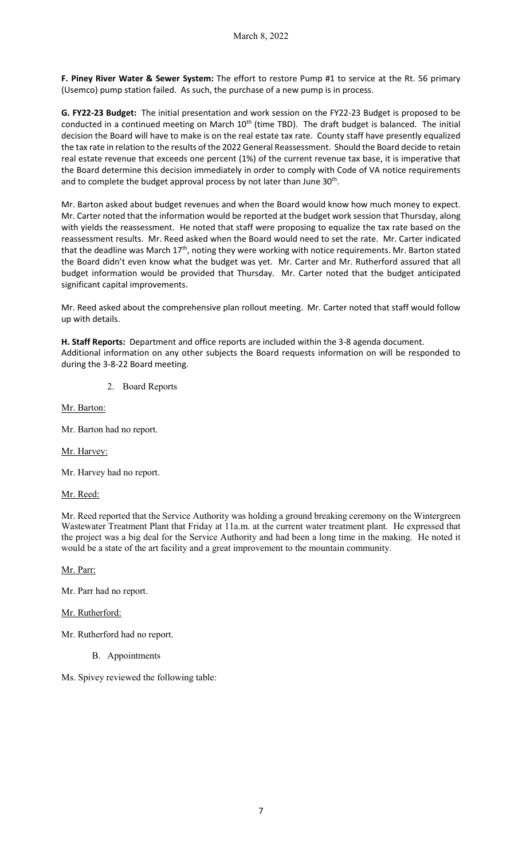**F. Piney River Water & Sewer System:** The effort to restore Pump #1 to service at the Rt. 56 primary (Usemco) pump station failed. As such, the purchase of a new pump is in process.

**G. FY22-23 Budget:** The initial presentation and work session on the FY22-23 Budget is proposed to be conducted in a continued meeting on March 10<sup>th</sup> (time TBD). The draft budget is balanced. The initial decision the Board will have to make is on the real estate tax rate. County staff have presently equalized the tax rate in relation to the results of the 2022 General Reassessment. Should the Board decide to retain real estate revenue that exceeds one percent (1%) of the current revenue tax base, it is imperative that the Board determine this decision immediately in order to comply with Code of VA notice requirements and to complete the budget approval process by not later than June 30<sup>th</sup>.

Mr. Barton asked about budget revenues and when the Board would know how much money to expect. Mr. Carter noted that the information would be reported at the budget work session that Thursday, along with yields the reassessment. He noted that staff were proposing to equalize the tax rate based on the reassessment results. Mr. Reed asked when the Board would need to set the rate. Mr. Carter indicated that the deadline was March 17<sup>th</sup>, noting they were working with notice requirements. Mr. Barton stated the Board didn't even know what the budget was yet. Mr. Carter and Mr. Rutherford assured that all budget information would be provided that Thursday. Mr. Carter noted that the budget anticipated significant capital improvements.

Mr. Reed asked about the comprehensive plan rollout meeting. Mr. Carter noted that staff would follow up with details.

**H. Staff Reports:** Department and office reports are included within the 3-8 agenda document. Additional information on any other subjects the Board requests information on will be responded to during the 3-8-22 Board meeting.

2. Board Reports

Mr. Barton:

Mr. Barton had no report.

Mr. Harvey:

Mr. Harvey had no report.

Mr. Reed:

Mr. Reed reported that the Service Authority was holding a ground breaking ceremony on the Wintergreen Wastewater Treatment Plant that Friday at 11a.m. at the current water treatment plant. He expressed that the project was a big deal for the Service Authority and had been a long time in the making. He noted it would be a state of the art facility and a great improvement to the mountain community.

Mr. Parr:

Mr. Parr had no report.

#### Mr. Rutherford:

Mr. Rutherford had no report.

- B. Appointments
- Ms. Spivey reviewed the following table: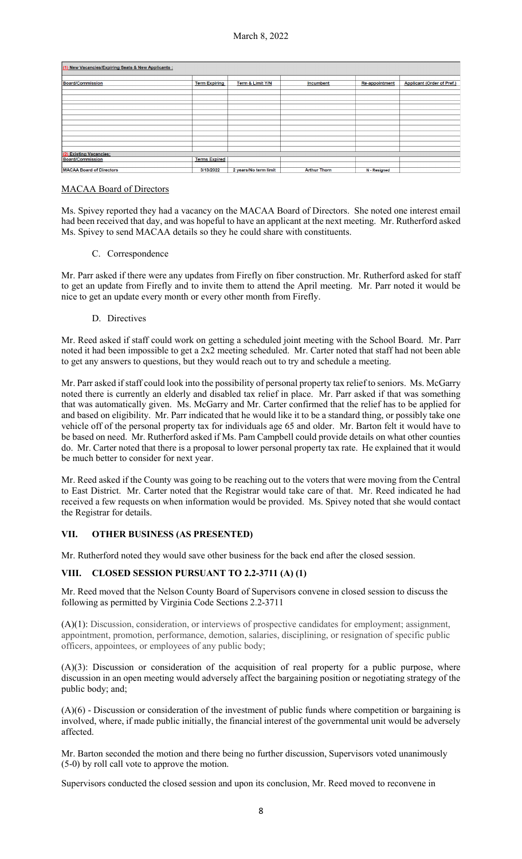| (1) New Vacancies/Expiring Seats & New Applicants : |                      |                       |                     |                |                                   |  |  |  |
|-----------------------------------------------------|----------------------|-----------------------|---------------------|----------------|-----------------------------------|--|--|--|
| <b>Board/Commission</b>                             | <b>Term Expiring</b> | Term & Limit Y/N      | Incumbent           | Re-appointment | <b>Applicant (Order of Pref.)</b> |  |  |  |
|                                                     |                      |                       |                     |                |                                   |  |  |  |
|                                                     |                      |                       |                     |                |                                   |  |  |  |
|                                                     |                      |                       |                     |                |                                   |  |  |  |
|                                                     |                      |                       |                     |                |                                   |  |  |  |
|                                                     |                      |                       |                     |                |                                   |  |  |  |
|                                                     |                      |                       |                     |                |                                   |  |  |  |
|                                                     |                      |                       |                     |                |                                   |  |  |  |
|                                                     |                      |                       |                     |                |                                   |  |  |  |
| <b>Existing Vacancies:</b>                          |                      |                       |                     |                |                                   |  |  |  |
| Board/Commission                                    | <b>Terms Expired</b> |                       |                     |                |                                   |  |  |  |
| <b>MACAA Board of Directors</b>                     | 3/13/2022            | 2 years/No term limit | <b>Arthur Thorn</b> | N - Resigned   |                                   |  |  |  |

## MACAA Board of Directors

Ms. Spivey reported they had a vacancy on the MACAA Board of Directors. She noted one interest email had been received that day, and was hopeful to have an applicant at the next meeting. Mr. Rutherford asked Ms. Spivey to send MACAA details so they he could share with constituents.

C. Correspondence

Mr. Parr asked if there were any updates from Firefly on fiber construction. Mr. Rutherford asked for staff to get an update from Firefly and to invite them to attend the April meeting. Mr. Parr noted it would be nice to get an update every month or every other month from Firefly.

D. Directives

Mr. Reed asked if staff could work on getting a scheduled joint meeting with the School Board. Mr. Parr noted it had been impossible to get a 2x2 meeting scheduled. Mr. Carter noted that staff had not been able to get any answers to questions, but they would reach out to try and schedule a meeting.

Mr. Parr asked if staff could look into the possibility of personal property tax relief to seniors. Ms. McGarry noted there is currently an elderly and disabled tax relief in place. Mr. Parr asked if that was something that was automatically given. Ms. McGarry and Mr. Carter confirmed that the relief has to be applied for and based on eligibility. Mr. Parr indicated that he would like it to be a standard thing, or possibly take one vehicle off of the personal property tax for individuals age 65 and older. Mr. Barton felt it would have to be based on need. Mr. Rutherford asked if Ms. Pam Campbell could provide details on what other counties do. Mr. Carter noted that there is a proposal to lower personal property tax rate. He explained that it would be much better to consider for next year.

Mr. Reed asked if the County was going to be reaching out to the voters that were moving from the Central to East District. Mr. Carter noted that the Registrar would take care of that. Mr. Reed indicated he had received a few requests on when information would be provided. Ms. Spivey noted that she would contact the Registrar for details.

## **VII. OTHER BUSINESS (AS PRESENTED)**

Mr. Rutherford noted they would save other business for the back end after the closed session.

## **VIII. CLOSED SESSION PURSUANT TO 2.2-3711 (A) (1)**

Mr. Reed moved that the Nelson County Board of Supervisors convene in closed session to discuss the following as permitted by Virginia Code Sections 2.2-3711

(A)(1): Discussion, consideration, or interviews of prospective candidates for employment; assignment, appointment, promotion, performance, demotion, salaries, disciplining, or resignation of specific public officers, appointees, or employees of any public body;

(A)(3): Discussion or consideration of the acquisition of real property for a public purpose, where discussion in an open meeting would adversely affect the bargaining position or negotiating strategy of the public body; and;

(A)(6) - Discussion or consideration of the investment of public funds where competition or bargaining is involved, where, if made public initially, the financial interest of the governmental unit would be adversely affected.

Mr. Barton seconded the motion and there being no further discussion, Supervisors voted unanimously (5-0) by roll call vote to approve the motion.

Supervisors conducted the closed session and upon its conclusion, Mr. Reed moved to reconvene in